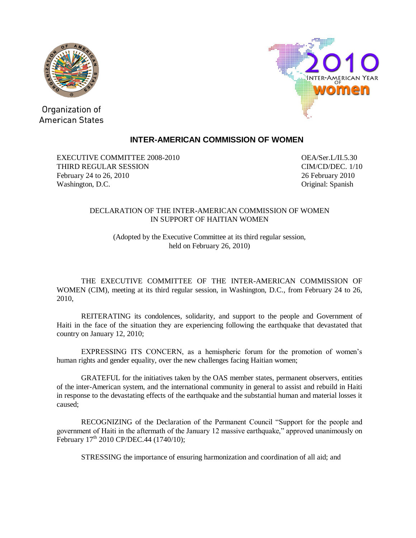



Organization of **American States** 

## **INTER-AMERICAN COMMISSION OF WOMEN**

EXECUTIVE COMMITTEE 2008-2010 OEA/Ser.L/II.5.30 THIRD REGULAR SESSION CIM/CD/DEC. 1/10 February 24 to 26, 2010 26 February 2010 Washington, D.C. **Cancer and Contact Contact Contact Contact Contact Contact Contact Contact Contact Contact Contact Contact Contact Contact Contact Contact Contact Contact Contact Contact Contact Contact Contact Contact C** 

## DECLARATION OF THE INTER-AMERICAN COMMISSION OF WOMEN IN SUPPORT OF HAITIAN WOMEN

(Adopted by the Executive Committee at its third regular session, held on February 26, 2010)

THE EXECUTIVE COMMITTEE OF THE INTER-AMERICAN COMMISSION OF WOMEN (CIM), meeting at its third regular session, in Washington, D.C., from February 24 to 26, 2010,

REITERATING its condolences, solidarity, and support to the people and Government of Haiti in the face of the situation they are experiencing following the earthquake that devastated that country on January 12, 2010;

EXPRESSING ITS CONCERN, as a hemispheric forum for the promotion of women's human rights and gender equality, over the new challenges facing Haitian women;

GRATEFUL for the initiatives taken by the OAS member states, permanent observers, entities of the inter-American system, and the international community in general to assist and rebuild in Haiti in response to the devastating effects of the earthquake and the substantial human and material losses it caused;

RECOGNIZING of the Declaration of the Permanent Council "Support for the people and government of Haiti in the aftermath of the January 12 massive earthquake," approved unanimously on February  $17^{th}$  2010 CP/DEC.44 (1740/10);

STRESSING the importance of ensuring harmonization and coordination of all aid; and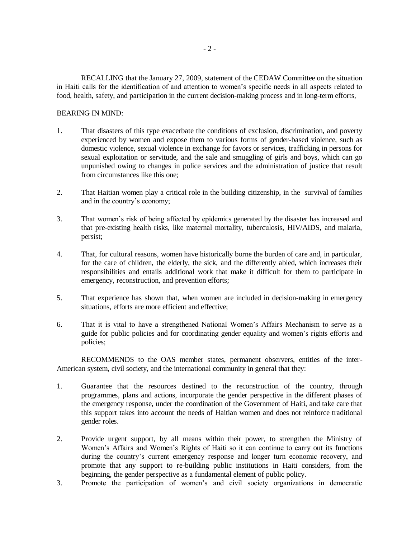RECALLING that the January 27, 2009, statement of the CEDAW Committee on the situation in Haiti calls for the identification of and attention to women's specific needs in all aspects related to food, health, safety, and participation in the current decision-making process and in long-term efforts,

## BEARING IN MIND:

- 1. That disasters of this type exacerbate the conditions of exclusion, discrimination, and poverty experienced by women and expose them to various forms of gender-based violence, such as domestic violence, sexual violence in exchange for favors or services, trafficking in persons for sexual exploitation or servitude, and the sale and smuggling of girls and boys, which can go unpunished owing to changes in police services and the administration of justice that result from circumstances like this one;
- 2. That Haitian women play a critical role in the building citizenship, in the survival of families and in the country's economy;
- 3. That women's risk of being affected by epidemics generated by the disaster has increased and that pre-existing health risks, like maternal mortality, tuberculosis, HIV/AIDS, and malaria, persist;
- 4. That, for cultural reasons, women have historically borne the burden of care and, in particular, for the care of children, the elderly, the sick, and the differently abled, which increases their responsibilities and entails additional work that make it difficult for them to participate in emergency, reconstruction, and prevention efforts;
- 5. That experience has shown that, when women are included in decision-making in emergency situations, efforts are more efficient and effective;
- 6. That it is vital to have a strengthened National Women's Affairs Mechanism to serve as a guide for public policies and for coordinating gender equality and women's rights efforts and policies;

RECOMMENDS to the OAS member states, permanent observers, entities of the inter-American system, civil society, and the international community in general that they:

- 1. Guarantee that the resources destined to the reconstruction of the country, through programmes, plans and actions, incorporate the gender perspective in the different phases of the emergency response, under the coordination of the Government of Haiti, and take care that this support takes into account the needs of Haitian women and does not reinforce traditional gender roles.
- 2. Provide urgent support, by all means within their power, to strengthen the Ministry of Women's Affairs and Women's Rights of Haiti so it can continue to carry out its functions during the country's current emergency response and longer turn economic recovery, and promote that any support to re-building public institutions in Haiti considers, from the beginning, the gender perspective as a fundamental element of public policy.
- 3. Promote the participation of women's and civil society organizations in democratic